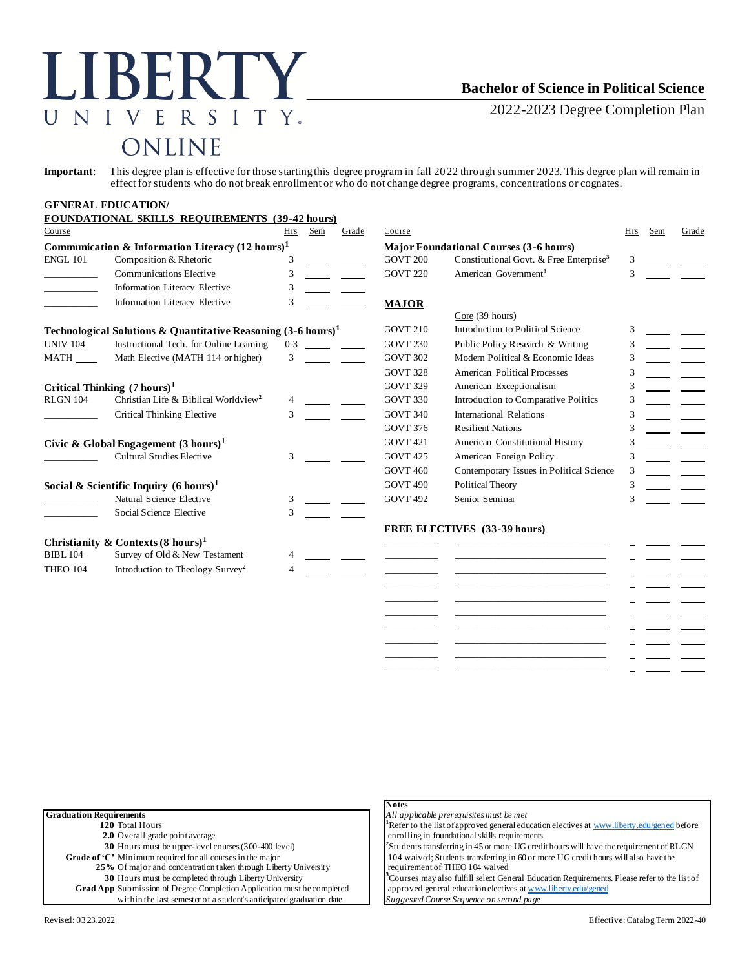## LIBERTY. UNIVERSITY. ONLINE

## **Bachelor of Science in Political Science**

2022-2023 Degree Completion Plan

**Important**: This degree plan is effective for those starting this degree program in fall 2022 through summer 2023. This degree plan will remain in effect for students who do not break enrollment or who do not change degree programs, concentrations or cognates.

|                                                                          | <b>GENERAL EDUCATION/</b><br><b>FOUNDATIONAL SKILLS REQUIREMENTS (39-42 hours)</b> |               |     |                 |                                               |                                                     |               |     |       |
|--------------------------------------------------------------------------|------------------------------------------------------------------------------------|---------------|-----|-----------------|-----------------------------------------------|-----------------------------------------------------|---------------|-----|-------|
| Course                                                                   |                                                                                    | Hrs           | Sem | Grade           | Course                                        |                                                     | Hrs           | Sem | Grade |
| Communication & Information Literacy $(12 \text{ hours})^1$              |                                                                                    |               |     |                 | <b>Major Foundational Courses (3-6 hours)</b> |                                                     |               |     |       |
| <b>ENGL 101</b>                                                          | Composition & Rhetoric                                                             | 3             |     |                 | <b>GOVT 200</b>                               | Constitutional Govt. & Free Enterprise <sup>3</sup> | 3             |     |       |
|                                                                          | Communications Elective                                                            | 3             |     |                 | <b>GOVT 220</b>                               | American Government <sup>3</sup>                    | 3             |     |       |
|                                                                          | <b>Information Literacy Elective</b>                                               | 3             |     |                 |                                               |                                                     |               |     |       |
|                                                                          | Information Literacy Elective                                                      | 3             |     |                 | <b>MAJOR</b>                                  | Core (39 hours)                                     |               |     |       |
| Technological Solutions & Quantitative Reasoning $(3-6 \text{ hours})^1$ |                                                                                    |               |     | <b>GOVT 210</b> | Introduction to Political Science             | $\mathcal{R}$                                       |               |     |       |
| <b>UNIV 104</b>                                                          | Instructional Tech. for Online Learning                                            | $0 - 3$       |     |                 | <b>GOVT 230</b>                               | Public Policy Research & Writing                    | 3             |     |       |
| <b>MATH</b>                                                              | Math Elective (MATH 114 or higher)                                                 | 3             |     |                 | <b>GOVT 302</b>                               | Modern Political & Economic Ideas                   | 3             |     |       |
|                                                                          |                                                                                    |               |     |                 | GOVT 328                                      | <b>American Political Processes</b>                 | 3             |     |       |
| Critical Thinking $(7 \text{ hours})^1$                                  |                                                                                    |               |     | <b>GOVT 329</b> | American Exceptionalism                       | 3                                                   |               |     |       |
| <b>RLGN 104</b>                                                          | Christian Life & Biblical Worldview <sup>2</sup>                                   |               |     |                 | <b>GOVT 330</b>                               | Introduction to Comparative Politics                | 3             |     |       |
|                                                                          | Critical Thinking Elective                                                         | 3             |     |                 | <b>GOVT 340</b>                               | International Relations                             | 3             |     |       |
|                                                                          |                                                                                    |               |     |                 | <b>GOVT 376</b>                               | <b>Resilient Nations</b>                            | 3             |     |       |
| Civic & Global Engagement $(3 \text{ hours})^1$                          |                                                                                    |               |     | <b>GOVT 421</b> | American Constitutional History               | 3                                                   |               |     |       |
|                                                                          | <b>Cultural Studies Elective</b>                                                   | 3             |     |                 | <b>GOVT 425</b>                               | American Foreign Policy                             | 3             |     |       |
|                                                                          |                                                                                    |               |     |                 | <b>GOVT 460</b>                               | Contemporary Issues in Political Science            | 3             |     |       |
| Social & Scientific Inquiry $(6 \text{ hours})^1$                        |                                                                                    |               |     |                 | <b>GOVT 490</b>                               | Political Theory                                    | 3             |     |       |
|                                                                          | Natural Science Elective                                                           | 3             |     |                 | <b>GOVT 492</b>                               | Senior Seminar                                      | $\mathcal{R}$ |     |       |
|                                                                          | Social Science Elective                                                            | $\mathcal{R}$ |     |                 |                                               |                                                     |               |     |       |
|                                                                          |                                                                                    |               |     |                 |                                               | <b>FREE ELECTIVES</b> (33-39 hours)                 |               |     |       |
| <b>BIBL 104</b>                                                          | Christianity & Contexts $(8 \text{ hours})^1$<br>Survey of Old & New Testament     |               |     |                 |                                               |                                                     |               |     |       |
| <b>THEO 104</b>                                                          | Introduction to Theology Survey <sup>2</sup>                                       |               |     |                 |                                               |                                                     |               |     |       |
|                                                                          |                                                                                    |               |     |                 |                                               |                                                     |               |     |       |
|                                                                          |                                                                                    |               |     |                 |                                               |                                                     |               |     |       |
|                                                                          |                                                                                    |               |     |                 |                                               |                                                     |               |     |       |

\_\_\_\_\_\_\_\_\_\_\_ \_\_\_\_\_\_\_\_\_\_\_\_\_\_\_\_\_\_\_\_\_\_\_\_\_\_\_\_\_\_\_ \_\_\_\_\_\_\_\_\_\_\_ \_\_\_\_\_\_\_\_\_\_\_\_\_\_\_\_\_\_\_\_\_\_\_\_\_\_\_\_\_\_\_ \_\_\_\_\_\_\_\_\_\_\_ \_\_\_\_\_\_\_\_\_\_\_\_\_\_\_\_\_\_\_\_\_\_\_\_\_\_\_\_\_\_\_ \_\_\_\_\_\_\_\_\_\_\_ \_\_\_\_\_\_\_\_\_\_\_\_\_\_\_\_\_\_\_\_\_\_\_\_\_\_\_\_\_\_\_ \_\_\_\_\_\_\_\_\_\_\_ \_\_\_\_\_\_\_\_\_\_\_\_\_\_\_\_\_\_\_\_\_\_\_\_\_\_\_\_\_\_\_

|                                                                               | <b>Notes</b>                                                                                             |
|-------------------------------------------------------------------------------|----------------------------------------------------------------------------------------------------------|
| <b>Graduation Requirements</b>                                                | All applicable prerequisites must be met                                                                 |
| 120 Total Hours                                                               | <sup>1</sup> Refer to the list of approved general education electives at www.liberty.edu/gened before   |
| 2.0 Overall grade point average                                               | enrolling in foundational skills requirements                                                            |
| 30 Hours must be upper-level courses (300-400 level)                          | ${}^{2}$ Students transferring in 45 or more UG credit hours will have the requirement of RLGN           |
| Grade of 'C' Minimum required for all courses in the major                    | 104 waived; Students transferring in 60 or more UG credit hours will also have the                       |
| 25% Of major and concentration taken through Liberty University               | requirement of THEO 104 waived                                                                           |
| 30 Hours must be completed through Liberty University                         | <sup>3</sup> Courses may also fulfill select General Education Requirements. Please refer to the list of |
| <b>Grad App</b> Submission of Degree Completion Application must be completed | approved general education electives at www.liberty.edu/gened                                            |
| within the last semester of a student's anticipated graduation date           | Suggested Course Sequence on second page                                                                 |